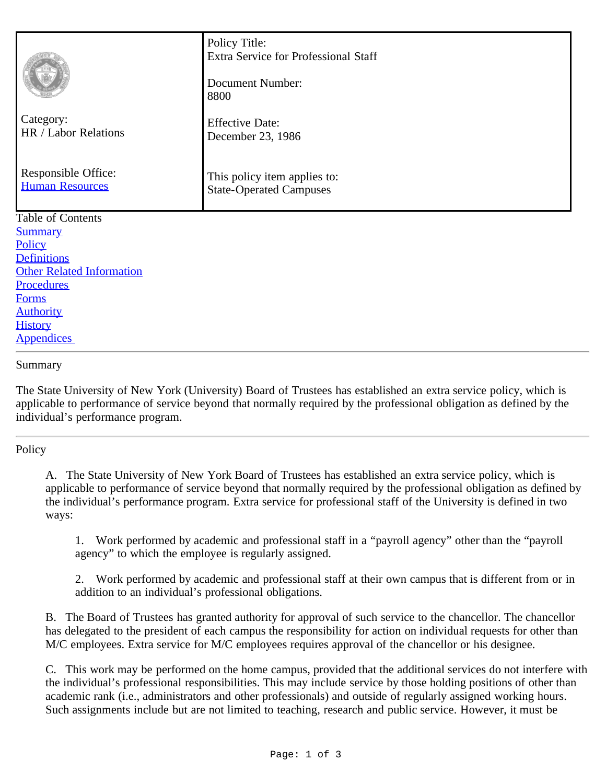|                                               | Policy Title:<br><b>Extra Service for Professional Staff</b><br><b>Document Number:</b><br>8800 |
|-----------------------------------------------|-------------------------------------------------------------------------------------------------|
| Category:<br>HR / Labor Relations             | <b>Effective Date:</b><br>December 23, 1986                                                     |
| Responsible Office:<br><b>Human Resources</b> | This policy item applies to:<br><b>State-Operated Campuses</b>                                  |
| <b>Table of Contents</b>                      |                                                                                                 |
| <b>Summary</b>                                |                                                                                                 |
| Policy                                        |                                                                                                 |
| <b>Definitions</b>                            |                                                                                                 |
| <b>Other Related Information</b>              |                                                                                                 |
| <b>Procedures</b>                             |                                                                                                 |
| <b>Forms</b>                                  |                                                                                                 |
| <b>Authority</b>                              |                                                                                                 |

## <span id="page-0-0"></span>Summary

**[History](#page-2-1) Appendices** 

The State University of New York (University) Board of Trustees has established an extra service policy, which is applicable to performance of service beyond that normally required by the professional obligation as defined by the individual's performance program.

## <span id="page-0-1"></span>**Policy**

A. The State University of New York Board of Trustees has established an extra service policy, which is applicable to performance of service beyond that normally required by the professional obligation as defined by the individual's performance program. Extra service for professional staff of the University is defined in two ways:

1. Work performed by academic and professional staff in a "payroll agency" other than the "payroll agency" to which the employee is regularly assigned.

2. Work performed by academic and professional staff at their own campus that is different from or in addition to an individual's professional obligations.

B. The Board of Trustees has granted authority for approval of such service to the chancellor. The chancellor has delegated to the president of each campus the responsibility for action on individual requests for other than M/C employees. Extra service for M/C employees requires approval of the chancellor or his designee.

C. This work may be performed on the home campus, provided that the additional services do not interfere with the individual's professional responsibilities. This may include service by those holding positions of other than academic rank (i.e., administrators and other professionals) and outside of regularly assigned working hours. Such assignments include but are not limited to teaching, research and public service. However, it must be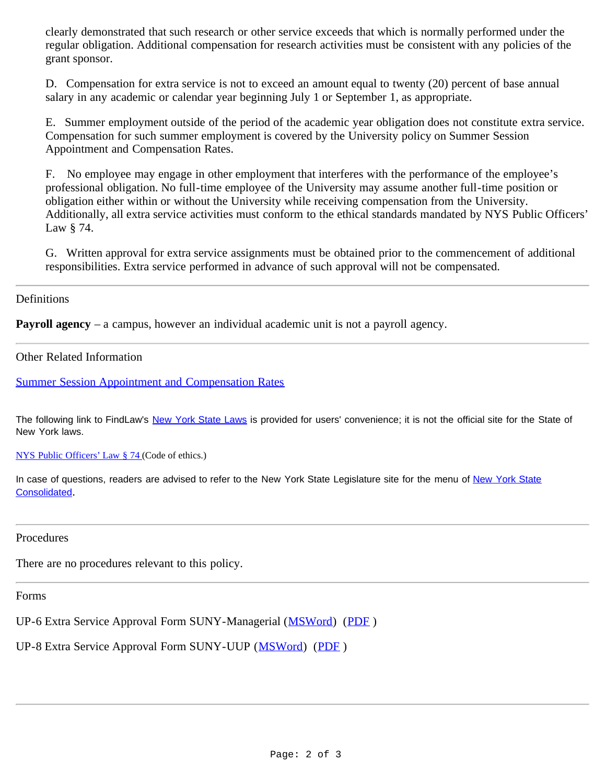clearly demonstrated that such research or other service exceeds that which is normally performed under the regular obligation. Additional compensation for research activities must be consistent with any policies of the grant sponsor.

D. Compensation for extra service is not to exceed an amount equal to twenty (20) percent of base annual salary in any academic or calendar year beginning July 1 or September 1, as appropriate.

E. Summer employment outside of the period of the academic year obligation does not constitute extra service. Compensation for such summer employment is covered by the University policy on Summer Session Appointment and Compensation Rates.

F. No employee may engage in other employment that interferes with the performance of the employee's professional obligation. No full-time employee of the University may assume another full-time position or obligation either within or without the University while receiving compensation from the University. Additionally, all extra service activities must conform to the ethical standards mandated by NYS Public Officers' Law § 74.

G. Written approval for extra service assignments must be obtained prior to the commencement of additional responsibilities. Extra service performed in advance of such approval will not be compensated.

<span id="page-1-0"></span>Definitions

**Payroll agency** – a campus, however an individual academic unit is not a payroll agency.

<span id="page-1-1"></span>Other Related Information

**[Summer Session Appointment and Compensation Rates](http://www.suny.edu/sunypp/lookup.cfm?lookup_id=420)** 

The following link to FindLaw's [New York State Laws](http://caselaw.lp.findlaw.com/nycodes/index.html) is provided for users' convenience; it is not the official site for the State of New York laws.

[NYS Public Officers' Law § 74](http://caselaw.lp.findlaw.com/nycodes/c94/a6.html) (Code of ethics.)

In case of questions, readers are advised to refer to the [New York State](http://public.leginfo.state.ny.us/menugetf.cgi?COMMONQUERY=LAWS) Legislature site for the menu of New York State [Consolidated](http://public.leginfo.state.ny.us/menugetf.cgi?COMMONQUERY=LAWS).

<span id="page-1-2"></span>Procedures

There are no procedures relevant to this policy.

<span id="page-1-3"></span>Forms

UP-6 Extra Service Approval Form SUNY-Managerial ([MSWord](https://www.suny.edu/media/suny/content-assets/documents/hr/UP-6,-12.14.doc)) ([PDF](https://www.suny.edu/media/suny/content-assets/documents/hr/UP-6,-12.14.pdf) )

UP-8 Extra Service Approval Form SUNY-UUP ([MSWord](https://www.suny.edu/media/suny/content-assets/documents/hr/UP-8,-4.15.doc)) (PDF)